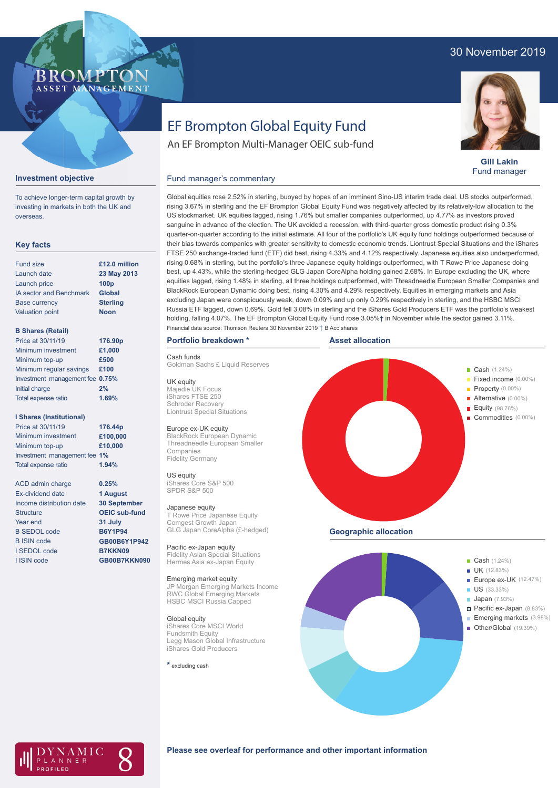## 30 November 2019

### **BROMP** ASSET MANAGEMENT

**Gill Lakin** Fund manager

# EF Brompton Global Equity Fund

An EF Brompton Multi-Manager OEIC sub-fund

### Fund manager's commentary



To achieve longer-term capital growth by investing in markets in both the UK and

**Investment objective**

overseas.

**23 May 2013 Sterling Noon**

> **0.25% 1 August 30 September OEIC sub-fund 31 July B6Y1P94 GB00B6Y1P942 B7KKN09 GB00B7KKN090**

### **B Shares (Retail)**

Valuation point

| Price at 30/11/19               | 176.90p |
|---------------------------------|---------|
| Minimum investment              | £1,000  |
| Minimum top-up                  | £500    |
| Minimum regular savings         | £100    |
| Investment management fee 0.75% |         |
| Initial charge                  | 2%      |
| Total expense ratio             | 1.69%   |

### **I Shares (Institutional)**

Minimum investment Minimum top-up Investment management fee **1%** Total expense ratio **£100,000 £10,000** Price at 30/11/19 **176.44p 1.94%**

ACD admin charge Ex-dividend date Income distribution date Structure Year end B SEDOL code B ISIN code I SEDOL code I ISIN code

rising 3.67% in sterling and the EF Brompton Global Equity Fund was negatively affected by its relatively-low allocation to the US stockmarket. UK equities lagged, rising 1.76% but smaller companies outperformed, up 4.77% as investors proved sanguine in advance of the election. The UK avoided a recession, with third-quarter gross domestic product rising 0.3% quarter-on-quarter according to the initial estimate. All four of the portfolio's UK equity fund holdings outperformed because of their bias towards companies with greater sensitivity to domestic economic trends. Liontrust Special Situations and the iShares FTSE 250 exchange-traded fund (ETF) did best, rising 4.33% and 4.12% respectively. Japanese equities also underperformed, rising 0.68% in sterling, but the portfolio's three Japanese equity holdings outperformed, with T Rowe Price Japanese doing best, up 4.43%, while the sterling-hedged GLG Japan CoreAlpha holding gained 2.68%. In Europe excluding the UK, where equities lagged, rising 1.48% in sterling, all three holdings outperformed, with Threadneedle European Smaller Companies and BlackRock European Dynamic doing best, rising 4.30% and 4.29% respectively. Equities in emerging markets and Asia excluding Japan were conspicuously weak, down 0.09% and up only 0.29% respectively in sterling, and the HSBC MSCI Russia ETF lagged, down 0.69%. Gold fell 3.08% in sterling and the iShares Gold Producers ETF was the portfolio's weakest holding, falling 4.07%. The EF Brompton Global Equity Fund rose 3.05%† in November while the sector gained 3.11%. Financial data source: Thomson Reuters 30 November 2019 † B Acc shares

Global equities rose 2.52% in sterling, buoyed by hopes of an imminent Sino-US interim trade deal. US stocks outperformed,

### **Portfolio breakdown \***

Cash funds

Goldman Sachs £ Liquid Reserves

UK equity Majedie UK Focus iShares FTSE 250 Schroder Recover Liontrust Special Situations

### Europe ex-UK equity

Threadneedle European Smaller Companies Fidelity Germany

iShares Core S&P 500 SPDR S&P 500

#### Japanese equity

T Rowe Price Japanese Equity Comgest Growth Japan GLG Japan CoreAlpha (£-hedged)

Pacific ex-Japan equity Fidelity Asian Special Situations Hermes Asia ex-Japan Equity

### Emerging market equity

JP Morgan Emerging Markets Income RWC Global Emerging Markets HSBC MSCI Russia Capped

### Global equity

iShares Core MSCI World **Fundsmith Equity** Legg Mason Global Infrastructure iShares Gold Producers

**\*** excluding cash





## AMIC NNER

### **Please see overleaf for performance and other important information**

BlackRock European Dynamic

## US equity